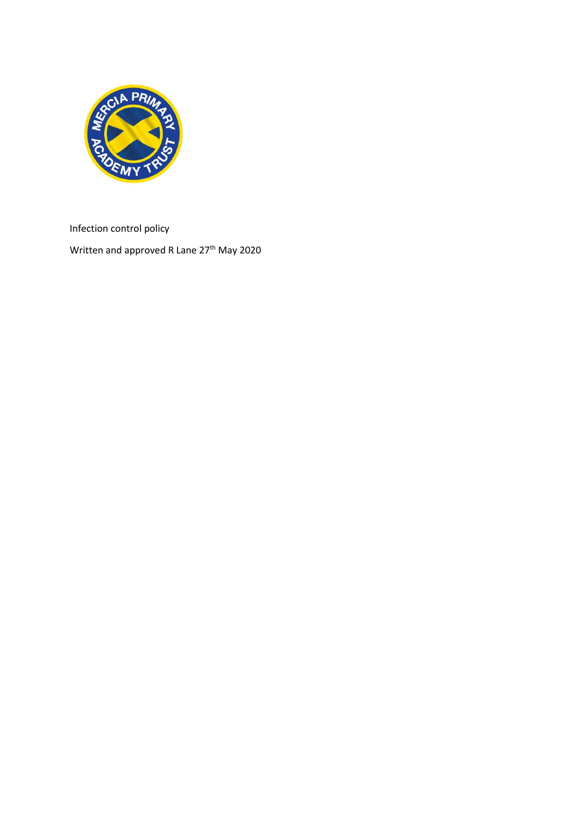

Infection control policy

Written and approved R Lane 27<sup>th</sup> May 2020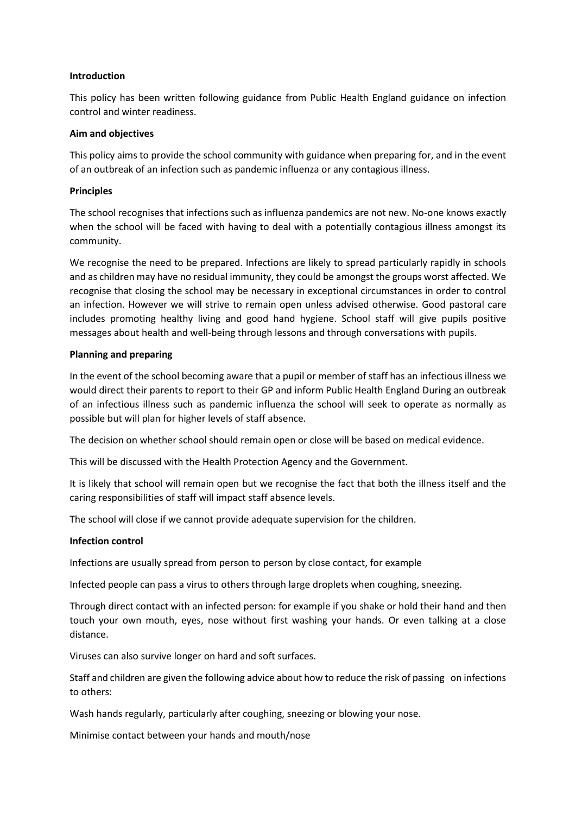#### **Introduction**

This policy has been written following guidance from Public Health England guidance on infection control and winter readiness.

#### **Aim and objectives**

This policy aims to provide the school community with guidance when preparing for, and in the event of an outbreak of an infection such as pandemic influenza or any contagious illness.

#### **Principles**

The school recognises that infections such as influenza pandemics are not new. No-one knows exactly when the school will be faced with having to deal with a potentially contagious illness amongst its community.

We recognise the need to be prepared. Infections are likely to spread particularly rapidly in schools and as children may have no residual immunity, they could be amongst the groups worst affected. We recognise that closing the school may be necessary in exceptional circumstances in order to control an infection. However we will strive to remain open unless advised otherwise. Good pastoral care includes promoting healthy living and good hand hygiene. School staff will give pupils positive messages about health and well-being through lessons and through conversations with pupils.

# **Planning and preparing**

In the event of the school becoming aware that a pupil or member of staff has an infectious illness we would direct their parents to report to their GP and inform Public Health England During an outbreak of an infectious illness such as pandemic influenza the school will seek to operate as normally as possible but will plan for higher levels of staff absence.

The decision on whether school should remain open or close will be based on medical evidence.

This will be discussed with the Health Protection Agency and the Government.

It is likely that school will remain open but we recognise the fact that both the illness itself and the caring responsibilities of staff will impact staff absence levels.

The school will close if we cannot provide adequate supervision for the children.

#### **Infection control**

Infections are usually spread from person to person by close contact, for example

Infected people can pass a virus to others through large droplets when coughing, sneezing.

Through direct contact with an infected person: for example if you shake or hold their hand and then touch your own mouth, eyes, nose without first washing your hands. Or even talking at a close distance.

Viruses can also survive longer on hard and soft surfaces.

Staff and children are given the following advice about how to reduce the risk of passing on infections to others:

Wash hands regularly, particularly after coughing, sneezing or blowing your nose.

Minimise contact between your hands and mouth/nose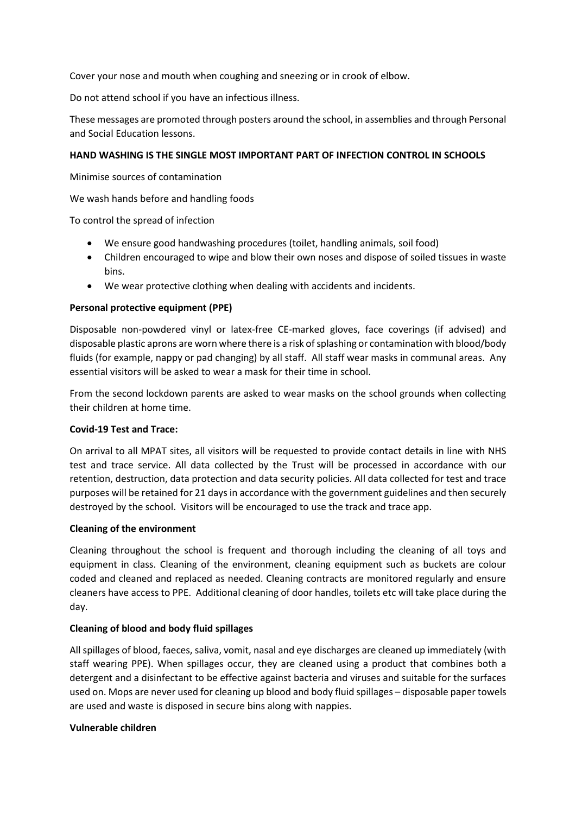Cover your nose and mouth when coughing and sneezing or in crook of elbow.

Do not attend school if you have an infectious illness.

These messages are promoted through posters around the school, in assemblies and through Personal and Social Education lessons.

# **HAND WASHING IS THE SINGLE MOST IMPORTANT PART OF INFECTION CONTROL IN SCHOOLS**

Minimise sources of contamination

We wash hands before and handling foods

To control the spread of infection

- We ensure good handwashing procedures (toilet, handling animals, soil food)
- Children encouraged to wipe and blow their own noses and dispose of soiled tissues in waste bins.
- We wear protective clothing when dealing with accidents and incidents.

# **Personal protective equipment (PPE)**

Disposable non-powdered vinyl or latex-free CE-marked gloves, face coverings (if advised) and disposable plastic aprons are worn where there is a risk of splashing or contamination with blood/body fluids (for example, nappy or pad changing) by all staff. All staff wear masks in communal areas. Any essential visitors will be asked to wear a mask for their time in school.

From the second lockdown parents are asked to wear masks on the school grounds when collecting their children at home time.

# **Covid-19 Test and Trace:**

On arrival to all MPAT sites, all visitors will be requested to provide contact details in line with NHS test and trace service. All data collected by the Trust will be processed in accordance with our retention, destruction, data protection and data security policies. All data collected for test and trace purposes will be retained for 21 days in accordance with the government guidelines and then securely destroyed by the school. Visitors will be encouraged to use the track and trace app.

# **Cleaning of the environment**

Cleaning throughout the school is frequent and thorough including the cleaning of all toys and equipment in class. Cleaning of the environment, cleaning equipment such as buckets are colour coded and cleaned and replaced as needed. Cleaning contracts are monitored regularly and ensure cleaners have access to PPE. Additional cleaning of door handles, toilets etc will take place during the day.

# **Cleaning of blood and body fluid spillages**

All spillages of blood, faeces, saliva, vomit, nasal and eye discharges are cleaned up immediately (with staff wearing PPE). When spillages occur, they are cleaned using a product that combines both a detergent and a disinfectant to be effective against bacteria and viruses and suitable for the surfaces used on. Mops are never used for cleaning up blood and body fluid spillages – disposable paper towels are used and waste is disposed in secure bins along with nappies.

# **Vulnerable children**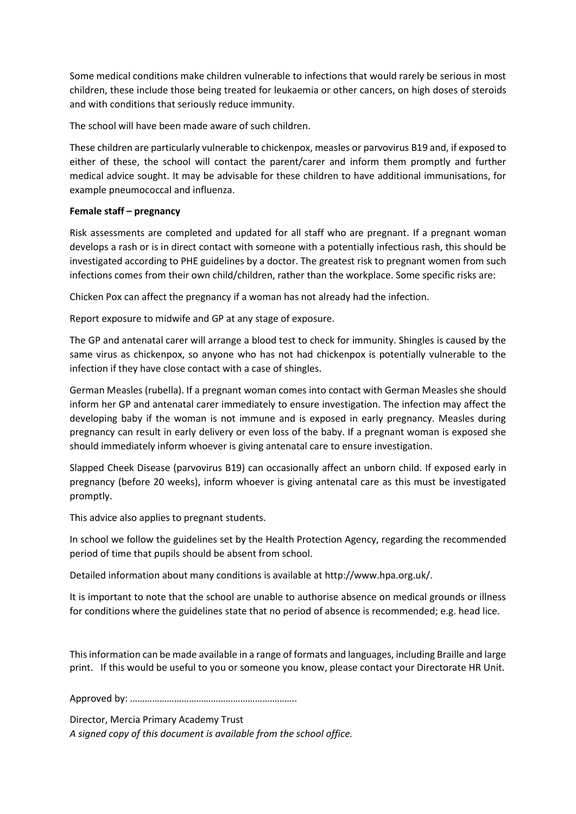Some medical conditions make children vulnerable to infections that would rarely be serious in most children, these include those being treated for leukaemia or other cancers, on high doses of steroids and with conditions that seriously reduce immunity.

The school will have been made aware of such children.

These children are particularly vulnerable to chickenpox, measles or parvovirus B19 and, if exposed to either of these, the school will contact the parent/carer and inform them promptly and further medical advice sought. It may be advisable for these children to have additional immunisations, for example pneumococcal and influenza.

# **Female staff – pregnancy**

Risk assessments are completed and updated for all staff who are pregnant. If a pregnant woman develops a rash or is in direct contact with someone with a potentially infectious rash, this should be investigated according to PHE guidelines by a doctor. The greatest risk to pregnant women from such infections comes from their own child/children, rather than the workplace. Some specific risks are:

Chicken Pox can affect the pregnancy if a woman has not already had the infection.

Report exposure to midwife and GP at any stage of exposure.

The GP and antenatal carer will arrange a blood test to check for immunity. Shingles is caused by the same virus as chickenpox, so anyone who has not had chickenpox is potentially vulnerable to the infection if they have close contact with a case of shingles.

German Measles (rubella). If a pregnant woman comes into contact with German Measles she should inform her GP and antenatal carer immediately to ensure investigation. The infection may affect the developing baby if the woman is not immune and is exposed in early pregnancy. Measles during pregnancy can result in early delivery or even loss of the baby. If a pregnant woman is exposed she should immediately inform whoever is giving antenatal care to ensure investigation.

Slapped Cheek Disease (parvovirus B19) can occasionally affect an unborn child. If exposed early in pregnancy (before 20 weeks), inform whoever is giving antenatal care as this must be investigated promptly.

This advice also applies to pregnant students.

In school we follow the guidelines set by the Health Protection Agency, regarding the recommended period of time that pupils should be absent from school.

Detailed information about many conditions is available at http://www.hpa.org.uk/.

It is important to note that the school are unable to authorise absence on medical grounds or illness for conditions where the guidelines state that no period of absence is recommended; e.g. head lice.

This information can be made available in a range of formats and languages, including Braille and large print. If this would be useful to you or someone you know, please contact your Directorate HR Unit.

Approved by: …………………………………………………………..

Director, Mercia Primary Academy Trust *A signed copy of this document is available from the school office.*